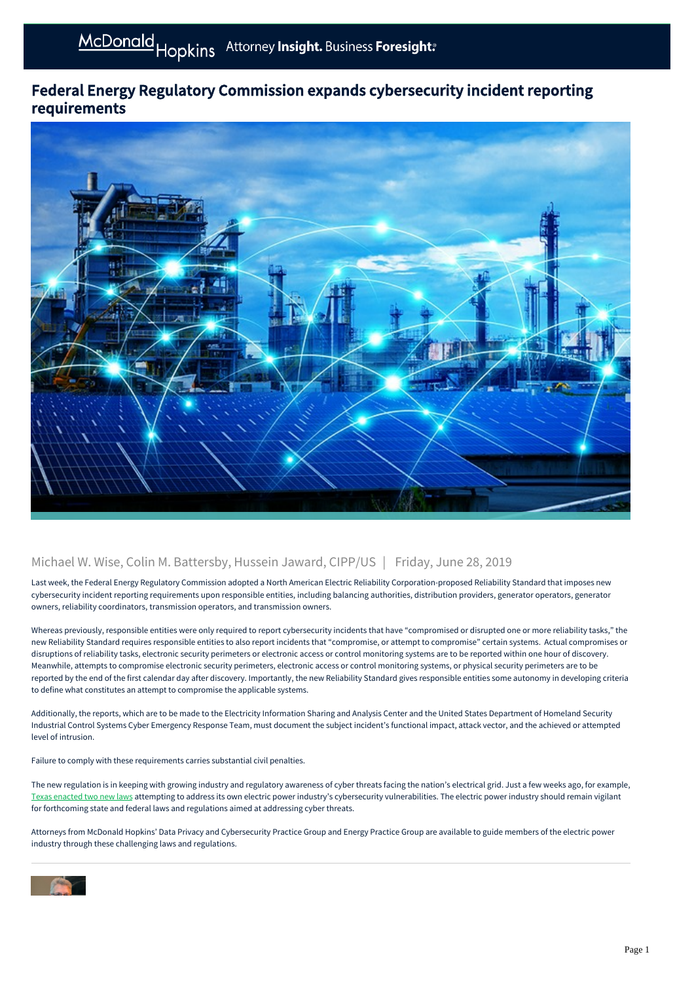## Federal Energy Regulatory Commission expands cybersecurity incident reporting requirements



## Michael W. Wise, Colin M. Battersby, Hussein Jaward, CIPP/US | Friday, June 28, 2019

Last week, the Federal Energy Regulatory Commission adopted a North American Electric Reliability Corporation-proposed Reliability Standard that imposes new cybersecurity incident reporting requirements upon responsible entities, including balancing authorities, distribution providers, generator operators, generator owners, reliability coordinators, transmission operators, and transmission owners.

Whereas previously, responsible entities were only required to report cybersecurity incidents that have "compromised or disrupted one or more reliability tasks," the new Reliability Standard requires responsible entities to also report incidents that "compromise, or attempt to compromise" certain systems. Actual compromises or disruptions of reliability tasks, electronic security perimeters or electronic access or control monitoring systems are to be reported within one hour of discovery. Meanwhile, attempts to compromise electronic security perimeters, electronic access or control monitoring systems, or physical security perimeters are to be reported by the end of the first calendar day after discovery. Importantly, the new Reliability Standard gives responsible entities some autonomy in developing criteria to define what constitutes an attempt to compromise the applicable systems.

Additionally, the reports, which are to be made to the Electricity Information Sharing and Analysis Center and the United States Department of Homeland Security Industrial Control Systems Cyber Emergency Response Team, must document the subject incident's functional impact, attack vector, and the achieved or attempted level of intrusion.

Failure to comply with these requirements carries substantial civil penalties.

The new regulation is in keeping with growing industry and regulatory awareness of cyber threats facing the nation's electrical grid. Just a few weeks ago, for example, [Texas enacted two new laws](https://mcdonaldhopkins.com/Insights/Blog/Data-Privacy-Solutions/2019/06/14/Texas-enacts-new-laws-bolstering-cybersecurity-of-utilities-and-electric-cooperatives) attempting to address its own electric power industry's cybersecurity vulnerabilities. The electric power industry should remain vigilant for forthcoming state and federal laws and regulations aimed at addressing cyber threats.

Attorneys from McDonald Hopkins' Data Privacy and Cybersecurity Practice Group and Energy Practice Group are available to guide members of the electric power industry through these challenging laws and regulations.